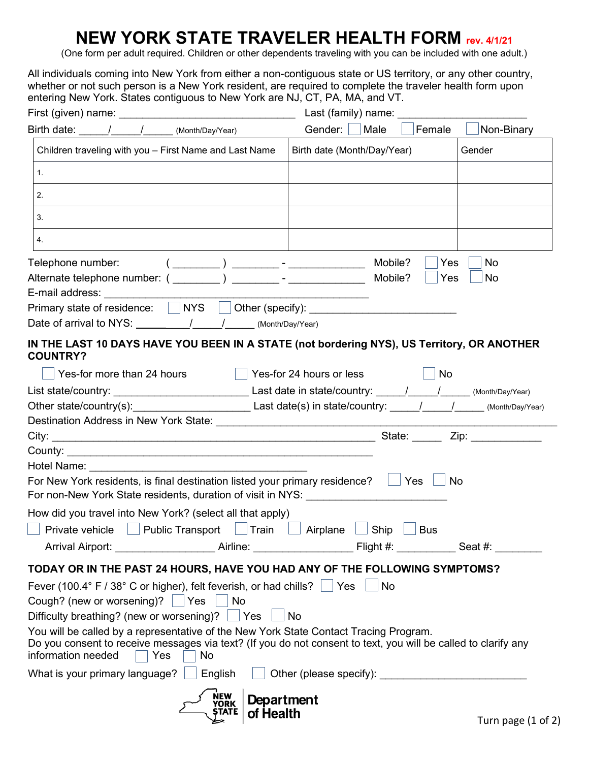# **NEW YORK STATE TRAVELER HEALTH FORM rev. 4/1/21**

(One form per adult required. Children or other dependents traveling with you can be included with one adult.)

All individuals coming into New York from either a non-contiguous state or US territory, or any other country, whether or not such person is a New York resident, are required to complete the [traveler health form u](https://forms.ny.gov/s3/Welcome-to-New-York-State-Traveler-Health-Form)pon entering New York. States contiguous to New York are NJ, CT, PA, MA, and VT.

|                                                                                                                                                                                                                                                                                                                                                                                                                                    | Last (family) name:                                                                                            |
|------------------------------------------------------------------------------------------------------------------------------------------------------------------------------------------------------------------------------------------------------------------------------------------------------------------------------------------------------------------------------------------------------------------------------------|----------------------------------------------------------------------------------------------------------------|
| Birth date: / / (Month/Day/Year)                                                                                                                                                                                                                                                                                                                                                                                                   | Gender:     Male<br>Non-Binary<br>Female                                                                       |
| Children traveling with you - First Name and Last Name                                                                                                                                                                                                                                                                                                                                                                             | Birth date (Month/Day/Year)<br>Gender                                                                          |
| 1.                                                                                                                                                                                                                                                                                                                                                                                                                                 |                                                                                                                |
| 2.                                                                                                                                                                                                                                                                                                                                                                                                                                 |                                                                                                                |
| 3.                                                                                                                                                                                                                                                                                                                                                                                                                                 |                                                                                                                |
| 4.                                                                                                                                                                                                                                                                                                                                                                                                                                 |                                                                                                                |
| Telephone number:<br>Date of arrival to NYS: $\frac{1}{\sqrt{1-\frac{1}{\sqrt{1-\frac{1}{\sqrt{1-\frac{1}{\sqrt{1-\frac{1}{\sqrt{1-\frac{1}{\sqrt{1-\frac{1}{\sqrt{1-\frac{1}{\sqrt{1-\frac{1}{\sqrt{1-\frac{1}{\sqrt{1-\frac{1}{\sqrt{1-\frac{1}{\sqrt{1-\frac{1}{\sqrt{1-\frac{1}{\sqrt{1-\frac{1}{\sqrt{1-\frac{1}{\sqrt{1-\frac{1}{\sqrt{1-\frac{1}{\sqrt{1-\frac{1}{\sqrt{1-\frac{1}{\sqrt{1-\frac{1}{\sqrt{1-\frac{1}{\sqrt$ | Mobile?<br>No<br>Yes<br>Mobile?<br>Yes<br>No                                                                   |
|                                                                                                                                                                                                                                                                                                                                                                                                                                    | IN THE LAST 10 DAYS HAVE YOU BEEN IN A STATE (not bordering NYS), US Territory, OR ANOTHER                     |
| <b>COUNTRY?</b>                                                                                                                                                                                                                                                                                                                                                                                                                    |                                                                                                                |
| Yes-for more than 24 hours                                                                                                                                                                                                                                                                                                                                                                                                         | Yes-for 24 hours or less<br>No                                                                                 |
|                                                                                                                                                                                                                                                                                                                                                                                                                                    |                                                                                                                |
|                                                                                                                                                                                                                                                                                                                                                                                                                                    | Other state/country(s): Last date(s) in state/country: 1.1 1.2 (Month/Day/Year)                                |
|                                                                                                                                                                                                                                                                                                                                                                                                                                    |                                                                                                                |
|                                                                                                                                                                                                                                                                                                                                                                                                                                    |                                                                                                                |
|                                                                                                                                                                                                                                                                                                                                                                                                                                    |                                                                                                                |
|                                                                                                                                                                                                                                                                                                                                                                                                                                    |                                                                                                                |
| For New York residents, is final destination listed your primary residence?<br>For non-New York State residents, duration of visit in NYS: New York State Residents, duration of visit in NYS:                                                                                                                                                                                                                                     | Yes<br>No                                                                                                      |
| How did you travel into New York? (select all that apply)                                                                                                                                                                                                                                                                                                                                                                          |                                                                                                                |
| $\Box$ Private vehicle $\Box$ Public Transport $\Box$ Train $\Box$                                                                                                                                                                                                                                                                                                                                                                 | Ship<br>Airplane<br><b>Bus</b>                                                                                 |
| Arrival Airport:                                                                                                                                                                                                                                                                                                                                                                                                                   | Airline: Seat #:                                                                                               |
| TODAY OR IN THE PAST 24 HOURS, HAVE YOU HAD ANY OF THE FOLLOWING SYMPTOMS?                                                                                                                                                                                                                                                                                                                                                         |                                                                                                                |
| Fever (100.4° F / 38° C or higher), felt feverish, or had chills? $\Box$ Yes                                                                                                                                                                                                                                                                                                                                                       | No                                                                                                             |
| Cough? (new or worsening)? $\vert \ \vert$ Yes<br>No                                                                                                                                                                                                                                                                                                                                                                               |                                                                                                                |
| Difficulty breathing? (new or worsening)?   Yes                                                                                                                                                                                                                                                                                                                                                                                    | No                                                                                                             |
| You will be called by a representative of the New York State Contact Tracing Program.<br>information needed<br>Yes<br>No                                                                                                                                                                                                                                                                                                           | Do you consent to receive messages via text? (If you do not consent to text, you will be called to clarify any |
| What is your primary language? $\Box$ English                                                                                                                                                                                                                                                                                                                                                                                      |                                                                                                                |
| NEW<br>YORK<br>STATE<br>of Health                                                                                                                                                                                                                                                                                                                                                                                                  | Department<br>Turn page (1 of 2                                                                                |